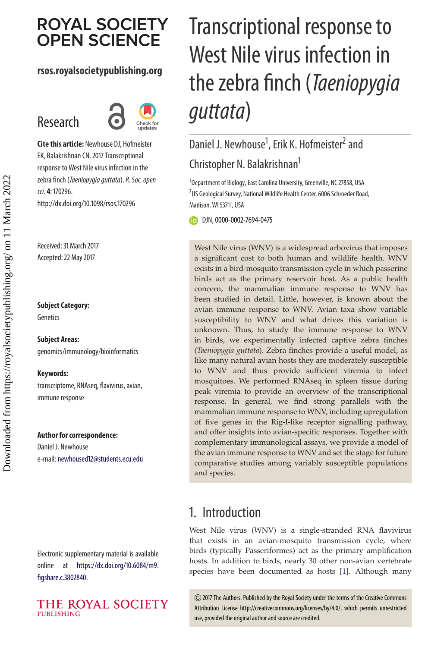# **ROYAL SOCIETY OPEN SCIENCE**

### **rsos.royalsocietypublishing.org**

# Research



**Cite this article:** Newhouse DJ, Hofmeister EK, Balakrishnan CN. 2017 Transcriptional response to West Nile virus infection in the zebra finch (Taeniopygia guttata). R. Soc. open sci. **4**: 170296. http://dx.doi.org/10.1098/rsos.170296

Received: 31 March 2017 Accepted: 22 May 2017

#### **Subject Category:**

Genetics

**Subject Areas:** genomics/immunology/bioinformatics

#### **Keywords:**

transcriptome, RNAseq, flavivirus, avian, immune response

#### **Author for correspondence:**

Daniel J. Newhouse e-mail: [newhoused12@students.ecu.edu](mailto:newhoused12@students.ecu.edu)

Electronic supplementary material is available online at [https://dx.doi.org/10.6084/m9.](https://dx.doi.org/10.6084/m9.figshare.c.3802840) [figshare.c.3802840.](https://dx.doi.org/10.6084/m9.figshare.c.3802840)



# Transcriptional response to West Nile virus infection in the zebra finch (*Taeniopygia* guttata)

# Daniel J. Newhouse<sup>1</sup>, Erik K. Hofmeister<sup>2</sup> and Christopher N. Balakrishnan1

<sup>1</sup>Department of Biology, East Carolina University, Greenville, NC 27858, USA <sup>2</sup>US Geological Survey, National Wildlife Health Center, 6006 Schroeder Road, Madison, WI 53711, USA

DJN,[0000-0002-7694-0475](http://orcid.org/0000-0002-7694-0475)

West Nile virus (WNV) is a widespread arbovirus that imposes a significant cost to both human and wildlife health. WNV exists in a bird-mosquito transmission cycle in which passerine birds act as the primary reservoir host. As a public health concern, the mammalian immune response to WNV has been studied in detail. Little, however, is known about the avian immune response to WNV. Avian taxa show variable susceptibility to WNV and what drives this variation is unknown. Thus, to study the immune response to WNV in birds, we experimentally infected captive zebra finches (*Taeniopygia guttata*). Zebra finches provide a useful model, as like many natural avian hosts they are moderately susceptible to WNV and thus provide sufficient viremia to infect mosquitoes. We performed RNAseq in spleen tissue during peak viremia to provide an overview of the transcriptional response. In general, we find strong parallels with the mammalian immune response to WNV, including upregulation of five genes in the Rig-I-like receptor signalling pathway, and offer insights into avian-specific responses. Together with complementary immunological assays, we provide a model of the avian immune response to WNV and set the stage for future comparative studies among variably susceptible populations and species.

# 1. Introduction

West Nile virus (WNV) is a single-stranded RNA flavivirus that exists in an avian-mosquito transmission cycle, where birds (typically Passeriformes) act as the primary amplification hosts. In addition to birds, nearly 30 other non-avian vertebrate species have been documented as hosts [\[1\]](#page-10-0). Although many

2017 The Authors. Published by the Royal Society under the terms of the Creative Commons Attribution License http://creativecommons.org/licenses/by/4.0/, which permits unrestricted use, provided the original author and source are credited.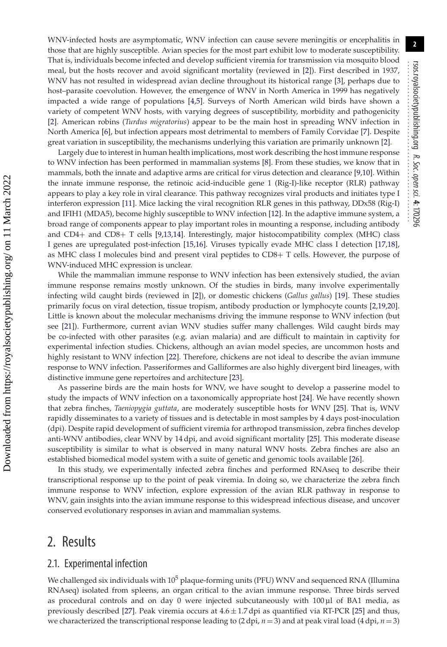WNV-infected hosts are asymptomatic, WNV infection can cause severe meningitis or encephalitis in those that are highly susceptible. Avian species for the most part exhibit low to moderate susceptibility. That is, individuals become infected and develop sufficient viremia for transmission via mosquito blood meal, but the hosts recover and avoid significant mortality (reviewed in [\[2\]](#page-10-1)). First described in 1937, WNV has not resulted in widespread avian decline throughout its historical range [\[3\]](#page-10-2), perhaps due to host–parasite coevolution. However, the emergence of WNV in North America in 1999 has negatively impacted a wide range of populations [\[4](#page-10-3)[,5\]](#page-10-4). Surveys of North American wild birds have shown a variety of competent WNV hosts, with varying degrees of susceptibility, morbidity and pathogenicity [\[2\]](#page-10-1). American robins (*Turdus migratorius*) appear to be the main host in spreading WNV infection in North America [\[6\]](#page-10-5), but infection appears most detrimental to members of Family Corvidae [\[7\]](#page-10-6). Despite great variation in susceptibility, the mechanisms underlying this variation are primarily unknown [\[2\]](#page-10-1).

Largely due to interest in human health implications, most work describing the host immune response to WNV infection has been performed in mammalian systems [\[8\]](#page-10-7). From these studies, we know that in mammals, both the innate and adaptive arms are critical for virus detection and clearance [\[9](#page-10-8)[,10\]](#page-10-9). Within the innate immune response, the retinoic acid-inducible gene 1 (Rig-I)-like receptor (RLR) pathway appears to play a key role in viral clearance. This pathway recognizes viral products and initiates type I interferon expression [\[11\]](#page-10-10). Mice lacking the viral recognition RLR genes in this pathway, DDx58 (Rig-I) and IFIH1 (MDA5), become highly susceptible to WNV infection [\[12\]](#page-10-11). In the adaptive immune system, a broad range of components appear to play important roles in mounting a response, including antibody and CD4+ and CD8+ T cells [\[9,](#page-10-8)[13](#page-10-12)[,14\]](#page-10-13). Interestingly, major histocompatibility complex (MHC) class I genes are upregulated post-infection [\[15](#page-10-14)[,16\]](#page-10-15). Viruses typically evade MHC class I detection [\[17](#page-10-16)[,18\]](#page-10-17), as MHC class I molecules bind and present viral peptides to CD8+ T cells. However, the purpose of WNV-induced MHC expression is unclear.

While the mammalian immune response to WNV infection has been extensively studied, the avian immune response remains mostly unknown. Of the studies in birds, many involve experimentally infecting wild caught birds (reviewed in [\[2\]](#page-10-1)), or domestic chickens (*Gallus gallus*) [\[19\]](#page-10-18). These studies primarily focus on viral detection, tissue tropism, antibody production or lymphocyte counts [\[2](#page-10-1)[,19](#page-10-18)[,20\]](#page-10-19). Little is known about the molecular mechanisms driving the immune response to WNV infection (but see [\[21\]](#page-10-20)). Furthermore, current avian WNV studies suffer many challenges. Wild caught birds may be co-infected with other parasites (e.g. avian malaria) and are difficult to maintain in captivity for experimental infection studies. Chickens, although an avian model species, are uncommon hosts and highly resistant to WNV infection [\[22\]](#page-10-21). Therefore, chickens are not ideal to describe the avian immune response to WNV infection. Passeriformes and Galliformes are also highly divergent bird lineages, with distinctive immune gene repertoires and architecture [\[23\]](#page-10-22).

As passerine birds are the main hosts for WNV, we have sought to develop a passerine model to study the impacts of WNV infection on a taxonomically appropriate host [\[24\]](#page-10-23). We have recently shown that zebra finches, *Taeniopygia guttata*, are moderately susceptible hosts for WNV [\[25\]](#page-10-24). That is, WNV rapidly disseminates to a variety of tissues and is detectable in most samples by 4 days post-inoculation (dpi). Despite rapid development of sufficient viremia for arthropod transmission, zebra finches develop anti-WNV antibodies, clear WNV by 14 dpi, and avoid significant mortality [\[25\]](#page-10-24). This moderate disease susceptibility is similar to what is observed in many natural WNV hosts. Zebra finches are also an established biomedical model system with a suite of genetic and genomic tools available [\[26\]](#page-10-25).

In this study, we experimentally infected zebra finches and performed RNAseq to describe their transcriptional response up to the point of peak viremia. In doing so, we characterize the zebra finch immune response to WNV infection, explore expression of the avian RLR pathway in response to WNV, gain insights into the avian immune response to this widespread infectious disease, and uncover conserved evolutionary responses in avian and mammalian systems.

## 2. Results

#### 2.1. Experimental infection

We challenged six individuals with  $10^5$  plaque-forming units (PFU) WNV and sequenced RNA (Illumina RNAseq) isolated from spleens, an organ critical to the avian immune response. Three birds served as procedural controls and on day 0 were injected subcutaneously with  $100 \mu$ l of BA1 media, as previously described [\[27\]](#page-10-26). Peak viremia occurs at  $4.6 \pm 1.7$  dpi as quantified via RT-PCR [\[25\]](#page-10-24) and thus, we characterized the transcriptional response leading to (2 dpi, *n* = 3) and at peak viral load (4 dpi, *n* = 3)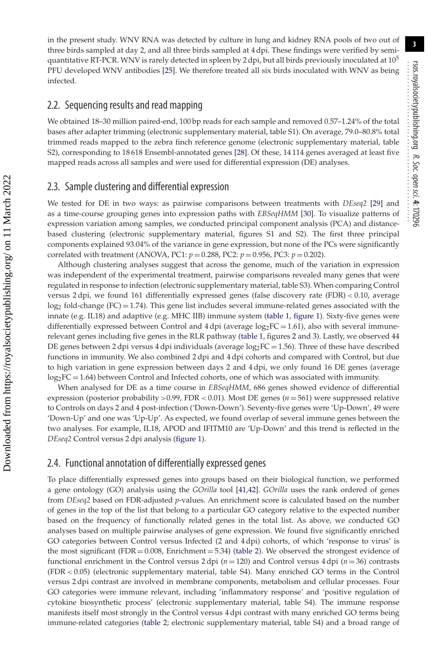in the present study. WNV RNA was detected by culture in lung and kidney RNA pools of two out of three birds sampled at day 2, and all three birds sampled at 4 dpi. These findings were verified by semiquantitative RT-PCR. WNV is rarely detected in spleen by 2 dpi, but all birds previously inoculated at  $10<sup>5</sup>$ PFU developed WNV antibodies [\[25\]](#page-10-24). We therefore treated all six birds inoculated with WNV as being infected.

#### 2.2. Sequencing results and read mapping

We obtained 18–30 million paired-end, 100 bp reads for each sample and removed 0.57–1.24% of the total bases after adapter trimming (electronic supplementary material, table S1). On average, 79.0–80.8% total trimmed reads mapped to the zebra finch reference genome (electronic supplementary material, table S2), corresponding to 18 618 Ensembl-annotated genes [\[28\]](#page-10-27). Of these, 14 114 genes averaged at least five mapped reads across all samples and were used for differential expression (DE) analyses.

#### 2.3. Sample clustering and differential expression

We tested for DE in two ways: as pairwise comparisons between treatments with *DEseq2* [\[29\]](#page-10-28) and as a time-course grouping genes into expression paths with *EBSeqHMM* [\[30\]](#page-11-0). To visualize patterns of expression variation among samples, we conducted principal component analysis (PCA) and distancebased clustering (electronic supplementary material, figures S1 and S2). The first three principal components explained 93.04% of the variance in gene expression, but none of the PCs were significantly correlated with treatment (ANOVA, PC1:  $p = 0.288$ , PC2:  $p = 0.956$ , PC3:  $p = 0.202$ ).

Although clustering analyses suggest that across the genome, much of the variation in expression was independent of the experimental treatment, pairwise comparisons revealed many genes that were regulated in response to infection (electronic supplementary material, table S3). When comparing Control versus 2 dpi, we found 161 differentially expressed genes (false discovery rate (FDR) *<* 0.10, average  $log<sub>2</sub>$  fold-change (FC) = 1.74). This gene list includes several immune-related genes associated with the innate (e.g. IL18) and adaptive (e.g. MHC IIB) immune system [\(table 1,](#page-3-0) [figure 1\)](#page-4-0). Sixty-five genes were differentially expressed between Control and  $4 \text{ dpi}$  (average  $\log_2FC = 1.61$ ), also with several immunerelevant genes including five genes in the RLR pathway [\(table 1,](#page-3-0) figures [2](#page-5-0) and [3\)](#page-6-0). Lastly, we observed 44 DE genes between 2 dpi versus 4 dpi individuals (average  $log_2FC = 1.56$ ). Three of these have described functions in immunity. We also combined 2 dpi and 4 dpi cohorts and compared with Control, but due to high variation in gene expression between days 2 and 4 dpi, we only found 16 DE genes (average  $log_2FC = 1.64$ ) between Control and Infected cohorts, one of which was associated with immunity.

When analysed for DE as a time course in *EBSeqHMM*, 686 genes showed evidence of differential expression (posterior probability *>*0.99, FDR *<* 0.01). Most DE genes (*n* = 561) were suppressed relative to Controls on days 2 and 4 post-infection ('Down-Down'). Seventy-five genes were 'Up-Down', 49 were 'Down-Up' and one was 'Up-Up'. As expected, we found overlap of several immune genes between the two analyses. For example, IL18, APOD and IFITM10 are 'Up-Down' and this trend is reflected in the *DEseq2* Control versus 2 dpi analysis [\(figure 1\)](#page-4-0).

#### 2.4. Functional annotation of differentially expressed genes

To place differentially expressed genes into groups based on their biological function, we performed a gene ontology (GO) analysis using the *GOrilla* tool [\[41,](#page-11-1)[42\]](#page-11-2). *GOrilla* uses the rank ordered of genes from *DEseq2* based on FDR-adjusted *p*-values. An enrichment score is calculated based on the number of genes in the top of the list that belong to a particular GO category relative to the expected number based on the frequency of functionally related genes in the total list. As above, we conducted GO analyses based on multiple pairwise analyses of gene expression. We found five significantly enriched GO categories between Control versus Infected (2 and 4 dpi) cohorts, of which 'response to virus' is the most significant (FDR =  $0.008$ , Enrichment =  $5.34$ ) [\(table 2\)](#page-7-0). We observed the strongest evidence of functional enrichment in the Control versus 2 dpi (*n* = 120) and Control versus 4 dpi (*n* = 36) contrasts (FDR *<* 0.05) (electronic supplementary material, table S4). Many enriched GO terms in the Control versus 2 dpi contrast are involved in membrane components, metabolism and cellular processes. Four GO categories were immune relevant, including 'inflammatory response' and 'positive regulation of cytokine biosynthetic process' (electronic supplementary material, table S4). The immune response manifests itself most strongly in the Control versus 4 dpi contrast with many enriched GO terms being immune-related categories [\(table 2;](#page-7-0) electronic supplementary material, table S4) and a broad range of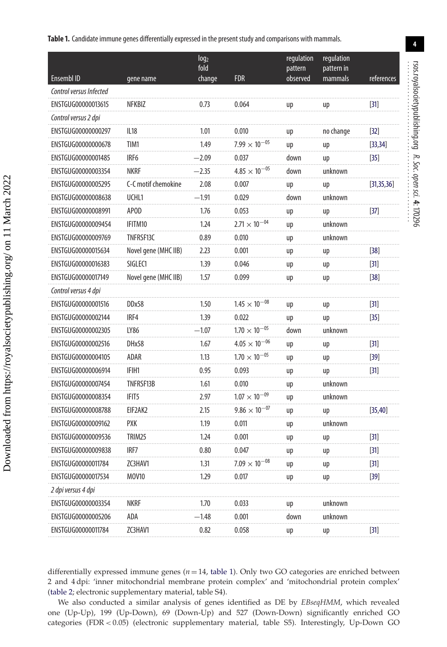<span id="page-3-0"></span>Table 1. Candidate immune genes differentially expressed in the present study and comparisons with mammals.

|                         |                      | log <sub>2</sub><br>fold |                        | regulation<br>pattern | regulation<br>pattern in |              |
|-------------------------|----------------------|--------------------------|------------------------|-----------------------|--------------------------|--------------|
| Ensembl ID              | gene name            | change                   | <b>FDR</b>             | observed              | mammals                  | references   |
| Control versus Infected |                      |                          |                        |                       |                          |              |
| ENSTGUG00000013615      | NFKBIZ               | 0.73                     | 0.064                  | up                    | up                       | $[31]$       |
| Control versus 2 dpi    |                      |                          |                        |                       |                          |              |
| ENSTGUG00000000297      | <b>IL18</b>          | 1.01                     | 0.010                  | up                    | no change                | $[32]$       |
| ENSTGUG00000000678      | TIM1                 | 1.49                     | $7.99 \times 10^{-05}$ | up                    | up                       | [33, 34]     |
| ENSTGUG00000001485      | IRF <sub>6</sub>     | $-2.09$                  | 0.037                  | down                  | up                       | $[35]$       |
| ENSTGUG00000003354      | <b>NKRF</b>          | $-2.35$                  | $4.85 \times 10^{-05}$ | down                  | unknown                  |              |
| ENSTGUG00000005295      | C-C motif chemokine  | 2.08                     | 0.007                  | up                    | up                       | [31, 35, 36] |
| ENSTGUG00000008638      | UCHL1                | $-1.91$                  | 0.029                  | down                  | unknown                  |              |
| ENSTGUG00000008991      | <b>APOD</b>          | 1.76                     | 0.053                  | up                    | up                       | $[37]$       |
| ENSTGUG00000009454      | IFITM10              | 1.24                     | $2.71 \times 10^{-04}$ | up                    | unknown                  |              |
| ENSTGUG00000009769      | TNFRSF13C            | 0.89                     | 0.010                  | up                    | unknown                  |              |
| ENSTGUG00000015634      | Novel gene (MHC IIB) | 2.23                     | 0.001                  | up                    | up                       | $[38]$       |
| ENSTGUG00000016383      | SIGLEC1              | 1.39                     | 0.046                  | up                    | up                       | $[31]$       |
| ENSTGUG00000017149      | Novel gene (MHC IIB) | 1.57                     | 0.099                  | up                    | up                       | $[38]$       |
| Control versus 4 dpi    |                      |                          |                        |                       |                          |              |
| ENSTGUG00000001516      | DD <sub>x58</sub>    | 1.50                     | $1.45 \times 10^{-08}$ | up                    | up                       | $[31]$       |
| ENSTGUG00000002144      | IRF4                 | 1.39                     | 0.022                  | up                    | up                       | $[35]$       |
| ENSTGUG00000002305      | LY86                 | $-1.07$                  | $1.70 \times 10^{-05}$ | down                  | unknown                  |              |
| ENSTGUG00000002516      | DH <sub>x58</sub>    | 1.67                     | $4.05 \times 10^{-06}$ | up                    | up                       | $[31]$       |
| ENSTGUG00000004105      | ADAR                 | 1.13                     | $1.70 \times 10^{-05}$ | up                    | up                       | $[39]$       |
| ENSTGUG00000006914      | IFIH1                | 0.95                     | 0.093                  | up                    | up                       | $[31]$       |
| ENSTGUG00000007454      | TNFRSF13B            | 1.61                     | 0.010                  | up                    | unknown                  |              |
| ENSTGUG00000008354      | IFIT <sub>5</sub>    | 2.97                     | $1.07 \times 10^{-09}$ | up                    | unknown                  |              |
| ENSTGUG00000008788      | EIF2AK2              | 2.15                     | $9.86 \times 10^{-07}$ | up                    | up                       | [35, 40]     |
| ENSTGUG00000009162      | PXK                  | 1.19                     | 0.011                  | up                    | unknown                  |              |
| ENSTGUG00000009536      | TRIM25               | 1.24                     | 0.001                  | up                    | up                       | $[31]$       |
| ENSTGUG00000009838      | IRF7                 | 0.80                     | 0.047                  | up                    | up                       | $[31]$       |
| ENSTGUG00000011784      | ZC3HAV1              | 1.31                     | $7.09 \times 10^{-7}$  | up                    | up                       | $[31]$       |
| ENSTGUG00000017534      | <b>MOV10</b>         | 1.29                     | 0.017                  | иp                    | иp                       | $[39]$       |
| 2 dpi versus 4 dpi      |                      |                          |                        |                       |                          |              |
| ENSTGUG00000003354      | NKRF                 | 1.70                     | 0.033                  | up                    | unknown                  |              |
| ENSTGUG00000005206      | ADA                  | $-1.48$                  | 0.001                  | down                  | unknown                  |              |
| ENSTGUG00000011784      | ZC3HAV1              | 0.82                     | 0.058                  | up                    | up                       | $[31]$       |

Downloaded from https://royalsocietypublishing.org/ on 11 March 2022

differentially expressed immune genes ( $n = 14$ , table 1). Only two GO categories are enriched between 2 and 4 dpi: 'inner mitochondrial membrane protein complex' and 'mitochondrial protein complex' (table 2; electronic supplementary material, table S4).

We also conducted a similar analysis of genes identified as DE by EBseqHMM, which revealed one (Up-Up), 199 (Up-Down), 69 (Down-Up) and 527 (Down-Down) significantly enriched GO categories (FDR < 0.05) (electronic supplementary material, table S5). Interestingly, Up-Down GO

 $\overline{4}$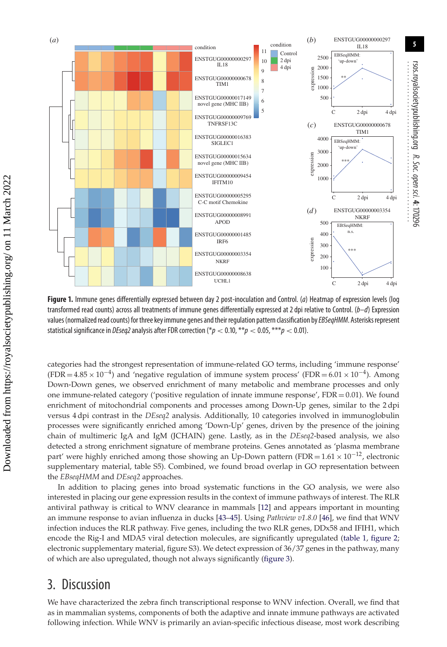

<span id="page-4-0"></span>**Figure 1.** Immune genes differentially expressed between day 2 post-inoculation and Control. (a) Heatmap of expression levels (log transformed read counts) across all treatments of immune genes differentially expressed at 2 dpi relative to Control.  $(b-d)$  Expression values (normalized read counts) for three key immune genes and their regulation pattern classification by EBSeqHMM. Asterisks represent statistical significance in DEseq2analysis after FDR correction (\*p *<* 0.10, \*\*p *<* 0.05, \*\*\*p *<* 0.01).

categories had the strongest representation of immune-related GO terms, including 'immune response'  $(FDR = 4.85 \times 10^{-4})$  and 'negative regulation of immune system process'  $(FDR = 6.01 \times 10^{-4})$ . Among Down-Down genes, we observed enrichment of many metabolic and membrane processes and only one immune-related category ('positive regulation of innate immune response',  $FDR = 0.01$ ). We found enrichment of mitochondrial components and processes among Down-Up genes, similar to the 2 dpi versus 4 dpi contrast in the *DEseq2* analysis. Additionally, 10 categories involved in immunoglobulin processes were significantly enriched among 'Down-Up' genes, driven by the presence of the joining chain of multimeric IgA and IgM (JCHAIN) gene. Lastly, as in the *DEseq2*-based analysis, we also detected a strong enrichment signature of membrane proteins. Genes annotated as 'plasma membrane part' were highly enriched among those showing an Up-Down pattern (FDR =  $1.61 \times 10^{-12}$ , electronic supplementary material, table S5). Combined, we found broad overlap in GO representation between the *EBseqHMM* and *DEseq2* approaches.

In addition to placing genes into broad systematic functions in the GO analysis, we were also interested in placing our gene expression results in the context of immune pathways of interest. The RLR antiviral pathway is critical to WNV clearance in mammals [\[12\]](#page-10-11) and appears important in mounting an immune response to avian influenza in ducks [\[43–](#page-11-13)[45\]](#page-11-14). Using *Pathview v1.8.0* [\[46\]](#page-11-15), we find that WNV infection induces the RLR pathway. Five genes, including the two RLR genes, DDx58 and IFIH1, which encode the Rig-I and MDA5 viral detection molecules, are significantly upregulated [\(table 1,](#page-3-0) [figure 2;](#page-5-0) electronic supplementary material, figure S3). We detect expression of 36/37 genes in the pathway, many of which are also upregulated, though not always significantly [\(figure 3\)](#page-6-0).

## 3. Discussion

We have characterized the zebra finch transcriptional response to WNV infection. Overall, we find that as in mammalian systems, components of both the adaptive and innate immune pathways are activated following infection. While WNV is primarily an avian-specific infectious disease, most work describing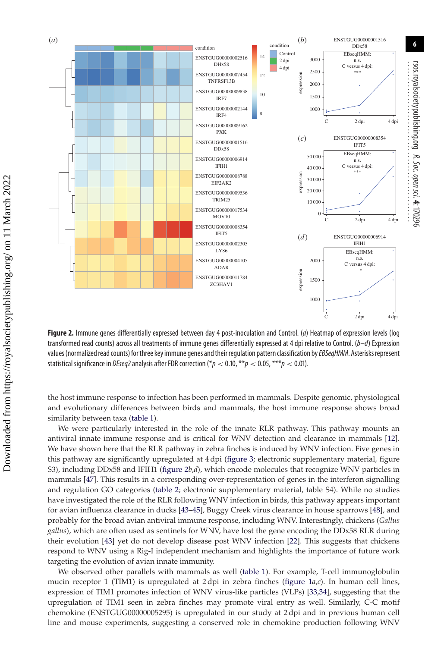

<span id="page-5-0"></span>**Figure 2.** Immune genes differentially expressed between day 4 post-inoculation and Control. (a) Heatmap of expression levels (log transformed read counts) across all treatments of immune genes differentially expressed at 4 dpi relative to Control.  $(b-d)$  Expression values (normalized read counts) for three key immune genes and their regulation pattern classification by EBSeqHMM. Asterisks represent statistical significance in *DEseq2* analysis after FDR correction (\* $p < 0.10$ , \*\* $p < 0.05$ , \*\*\* $p < 0.01$ ).

the host immune response to infection has been performed in mammals. Despite genomic, physiological and evolutionary differences between birds and mammals, the host immune response shows broad similarity between taxa [\(table 1\)](#page-3-0).

We were particularly interested in the role of the innate RLR pathway. This pathway mounts an antiviral innate immune response and is critical for WNV detection and clearance in mammals [\[12\]](#page-10-11). We have shown here that the RLR pathway in zebra finches is induced by WNV infection. Five genes in this pathway are significantly upregulated at 4 dpi [\(figure 3;](#page-6-0) electronic supplementary material, figure S3), including DDx58 and IFIH1 [\(figure 2](#page-5-0)*b*,*d*), which encode molecules that recognize WNV particles in mammals [\[47\]](#page-11-16). This results in a corresponding over-representation of genes in the interferon signalling and regulation GO categories [\(table 2;](#page-7-0) electronic supplementary material, table S4). While no studies have investigated the role of the RLR following WNV infection in birds, this pathway appears important for avian influenza clearance in ducks [\[43](#page-11-13)[–45\]](#page-11-14), Buggy Creek virus clearance in house sparrows [\[48\]](#page-11-17), and probably for the broad avian antiviral immune response, including WNV. Interestingly, chickens (*Gallus gallus*), which are often used as sentinels for WNV, have lost the gene encoding the DDx58 RLR during their evolution [\[43\]](#page-11-13) yet do not develop disease post WNV infection [\[22\]](#page-10-21). This suggests that chickens respond to WNV using a Rig-I independent mechanism and highlights the importance of future work targeting the evolution of avian innate immunity.

We observed other parallels with mammals as well [\(table 1\)](#page-3-0). For example, T-cell immunoglobulin mucin receptor 1 (TIM1) is upregulated at 2 dpi in zebra finches [\(figure 1](#page-4-0)*a*,*c*). In human cell lines, expression of TIM1 promotes infection of WNV virus-like particles (VLPs) [\[33,](#page-11-5)[34\]](#page-11-6), suggesting that the upregulation of TIM1 seen in zebra finches may promote viral entry as well. Similarly, C-C motif chemokine (ENSTGUG00000005295) is upregulated in our study at 2 dpi and in previous human cell line and mouse experiments, suggesting a conserved role in chemokine production following WNV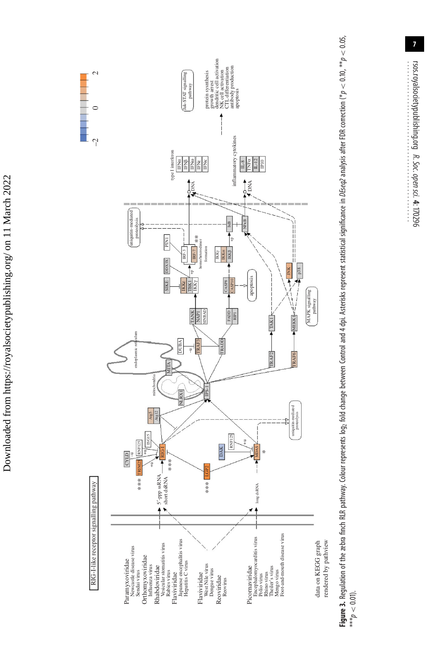



rsos.royalsocietypublishing.org

R. Soc.

................................................

open

<span id="page-6-0"></span>sci. **4**: 170296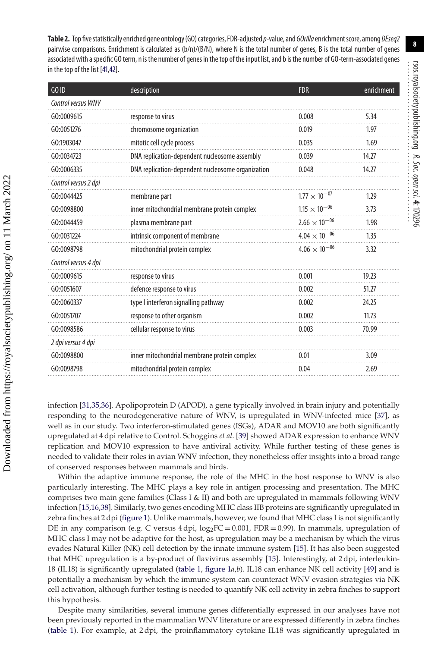<span id="page-7-0"></span>Table 2. Top five statistically enriched gene ontology (GO) categories, FDR-adjusted p-value, and GOrilla enrichment score, among DEseq2 pairwise comparisons. Enrichment is calculated as (b/n)/(B/N), where N is the total number of genes, B is the total number of genes associated with aspecific GO term, n is the number of genes in the top of the input list, and b is the number of GO-term-associated genes in the top of the list [\[41,](#page-11-1)[42\]](#page-11-2).

| GO ID                | description                                       | <b>FDR</b>             | enrichment |
|----------------------|---------------------------------------------------|------------------------|------------|
| Control versus WNV   |                                                   |                        |            |
| GO:0009615           | response to virus                                 | 0.008                  | 5.34       |
| G0:0051276           | chromosome organization                           | 0.019                  | 1.97       |
| GO:1903047           | mitotic cell cycle process                        | 0.035                  | 1.69       |
| GO:0034723           | DNA replication-dependent nucleosome assembly     | 0.039                  | 14.27      |
| G0:0006335           | DNA replication-dependent nucleosome organization | 0.048                  | 14.27      |
| Control versus 2 dpi |                                                   |                        |            |
| GO:0044425           | membrane part                                     | $1.77 \times 10^{-07}$ | 1.29       |
| GO:0098800           | inner mitochondrial membrane protein complex      | $1.15 \times 10^{-06}$ | 3.73       |
| GO:0044459           | plasma membrane part                              | $2.66 \times 10^{-06}$ | 1.98       |
| GO:0031224           | intrinsic component of membrane                   | $4.04 \times 10^{-06}$ | 1.35       |
| GO:0098798           | mitochondrial protein complex                     | $4.06 \times 10^{-06}$ | 3.32       |
| Control versus 4 dpi |                                                   |                        |            |
| GO:0009615           | response to virus                                 | 0.001                  | 19.23      |
| G0:0051607           | defence response to virus                         | 0.002                  | 51.27      |
| GO:0060337           | type I interferon signalling pathway              | 0.002                  | 24.25      |
| GO:0051707           | response to other organism                        | 0.002                  | 11.73      |
| GO:0098586           | cellular response to virus                        | 0.003                  | 70.99      |
| 2 dpi versus 4 dpi   |                                                   |                        |            |
| GO:0098800           | inner mitochondrial membrane protein complex      | 0.01                   | 3.09       |
| GO:0098798           | mitochondrial protein complex                     | 0.04                   | 2.69       |

infection [\[31,](#page-11-3)[35](#page-11-7)[,36\]](#page-11-8). Apolipoprotein D (APOD), a gene typically involved in brain injury and potentially responding to the neurodegenerative nature of WNV, is upregulated in WNV-infected mice [\[37\]](#page-11-9), as well as in our study. Two interferon-stimulated genes (ISGs), ADAR and MOV10 are both significantly upregulated at 4 dpi relative to Control. Schoggins *et al*. [\[39\]](#page-11-11) showed ADAR expression to enhance WNV replication and MOV10 expression to have antiviral activity. While further testing of these genes is needed to validate their roles in avian WNV infection, they nonetheless offer insights into a broad range of conserved responses between mammals and birds.

Within the adaptive immune response, the role of the MHC in the host response to WNV is also particularly interesting. The MHC plays a key role in antigen processing and presentation. The MHC comprises two main gene families (Class I & II) and both are upregulated in mammals following WNV infection [\[15](#page-10-14)[,16](#page-10-15)[,38\]](#page-11-10). Similarly, two genes encoding MHC class IIB proteins are significantly upregulated in zebra finches at 2 dpi [\(figure 1\)](#page-4-0). Unlike mammals, however, we found that MHC class I is not significantly DE in any comparison (e.g. C versus 4 dpi,  $log_2FC = 0.001$ , FDR = 0.99). In mammals, upregulation of MHC class I may not be adaptive for the host, as upregulation may be a mechanism by which the virus evades Natural Killer (NK) cell detection by the innate immune system [\[15\]](#page-10-14). It has also been suggested that MHC upregulation is a by-product of flavivirus assembly [\[15\]](#page-10-14). Interestingly, at 2 dpi, interleukin-18 (IL18) is significantly upregulated [\(table 1,](#page-3-0) [figure 1](#page-4-0)*a*,*b*). IL18 can enhance NK cell activity [\[49\]](#page-11-18) and is potentially a mechanism by which the immune system can counteract WNV evasion strategies via NK cell activation, although further testing is needed to quantify NK cell activity in zebra finches to support this hypothesis.

Despite many similarities, several immune genes differentially expressed in our analyses have not been previously reported in the mammalian WNV literature or are expressed differently in zebra finches [\(table 1\)](#page-3-0). For example, at 2 dpi, the proinflammatory cytokine IL18 was significantly upregulated in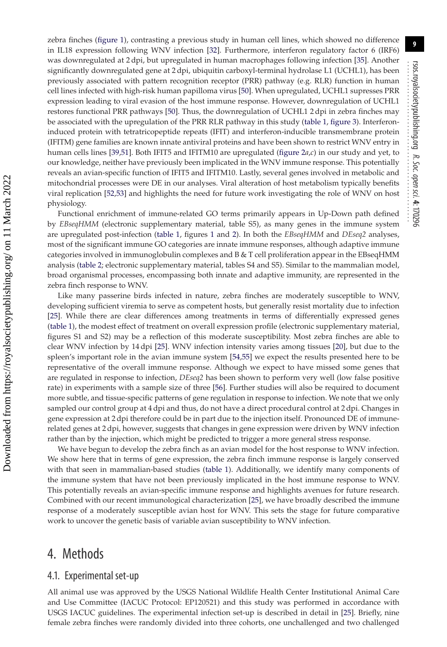zebra finches [\(figure 1\)](#page-4-0), contrasting a previous study in human cell lines, which showed no difference in IL18 expression following WNV infection [\[32\]](#page-11-4). Furthermore, interferon regulatory factor 6 (IRF6) was downregulated at 2 dpi, but upregulated in human macrophages following infection [\[35\]](#page-11-7). Another significantly downregulated gene at 2 dpi, ubiquitin carboxyl-terminal hydrolase L1 (UCHL1), has been previously associated with pattern recognition receptor (PRR) pathway (e.g. RLR) function in human cell lines infected with high-risk human papilloma virus [\[50\]](#page-11-19). When upregulated, UCHL1 supresses PRR expression leading to viral evasion of the host immune response. However, downregulation of UCHL1 restores functional PRR pathways [\[50\]](#page-11-19). Thus, the downregulation of UCHL1 2 dpi in zebra finches may be associated with the upregulation of the PRR RLR pathway in this study [\(table 1,](#page-3-0) [figure 3\)](#page-6-0). Interferoninduced protein with tetratricopeptide repeats (IFIT) and interferon-inducible transmembrane protein (IFITM) gene families are known innate antiviral proteins and have been shown to restrict WNV entry in human cells lines [\[39](#page-11-11)[,51\]](#page-11-20). Both IFIT5 and IFITM10 are upregulated [\(figure 2](#page-5-0)*a*,*c*) in our study and yet, to our knowledge, neither have previously been implicated in the WNV immune response. This potentially reveals an avian-specific function of IFIT5 and IFITM10. Lastly, several genes involved in metabolic and mitochondrial processes were DE in our analyses. Viral alteration of host metabolism typically benefits viral replication [\[52,](#page-11-21)[53\]](#page-11-22) and highlights the need for future work investigating the role of WNV on host physiology.

Functional enrichment of immune-related GO terms primarily appears in Up-Down path defined by *EBseqHMM* (electronic supplementary material, table S5), as many genes in the immune system are upregulated post-infection [\(table 1,](#page-3-0) figures [1](#page-4-0) and [2\)](#page-5-0). In both the *EBseqHMM* and *DEseq2* analyses, most of the significant immune GO categories are innate immune responses, although adaptive immune categories involved in immunoglobulin complexes and B & T cell proliferation appear in the EBseqHMM analysis [\(table 2;](#page-7-0) electronic supplementary material, tables S4 and S5). Similar to the mammalian model, broad organismal processes, encompassing both innate and adaptive immunity, are represented in the zebra finch response to WNV.

Like many passerine birds infected in nature, zebra finches are moderately susceptible to WNV, developing sufficient viremia to serve as competent hosts, but generally resist mortality due to infection [\[25\]](#page-10-24). While there are clear differences among treatments in terms of differentially expressed genes [\(table 1\)](#page-3-0), the modest effect of treatment on overall expression profile (electronic supplementary material, figures S1 and S2) may be a reflection of this moderate susceptibility. Most zebra finches are able to clear WNV infection by 14 dpi [\[25\]](#page-10-24). WNV infection intensity varies among tissues [\[20\]](#page-10-19), but due to the spleen's important role in the avian immune system [\[54](#page-11-23)[,55\]](#page-11-24) we expect the results presented here to be representative of the overall immune response. Although we expect to have missed some genes that are regulated in response to infection, *DEseq2* has been shown to perform very well (low false positive rate) in experiments with a sample size of three [\[56\]](#page-11-25). Further studies will also be required to document more subtle, and tissue-specific patterns of gene regulation in response to infection. We note that we only sampled our control group at 4 dpi and thus, do not have a direct procedural control at 2 dpi. Changes in gene expression at 2 dpi therefore could be in part due to the injection itself. Pronounced DE of immunerelated genes at 2 dpi, however, suggests that changes in gene expression were driven by WNV infection rather than by the injection, which might be predicted to trigger a more general stress response.

We have begun to develop the zebra finch as an avian model for the host response to WNV infection. We show here that in terms of gene expression, the zebra finch immune response is largely conserved with that seen in mammalian-based studies [\(table 1\)](#page-3-0). Additionally, we identify many components of the immune system that have not been previously implicated in the host immune response to WNV. This potentially reveals an avian-specific immune response and highlights avenues for future research. Combined with our recent immunological characterization [\[25\]](#page-10-24), we have broadly described the immune response of a moderately susceptible avian host for WNV. This sets the stage for future comparative work to uncover the genetic basis of variable avian susceptibility to WNV infection.

## 4. Methods

#### 4.1. Experimental set-up

All animal use was approved by the USGS National Wildlife Health Center Institutional Animal Care and Use Committee (IACUC Protocol: EP120521) and this study was performed in accordance with USGS IACUC guidelines. The experimental infection set-up is described in detail in [\[25\]](#page-10-24). Briefly, nine female zebra finches were randomly divided into three cohorts, one unchallenged and two challenged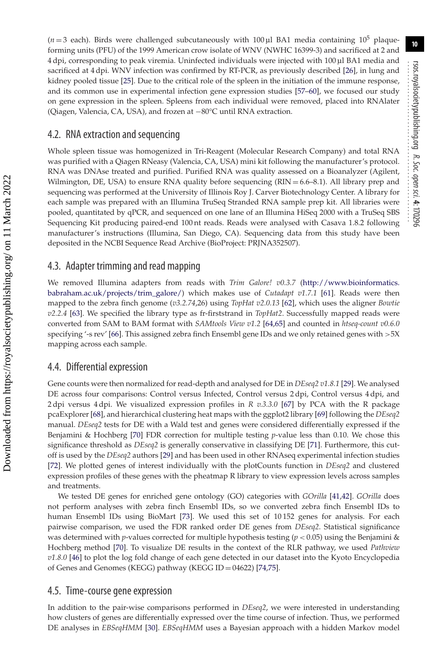$(n=3 \text{ each})$ . Birds were challenged subcutaneously with 100 µl BA1 media containing 10<sup>5</sup> plaqueforming units (PFU) of the 1999 American crow isolate of WNV (NWHC 16399-3) and sacrificed at 2 and 4 dpi, corresponding to peak viremia. Uninfected individuals were injected with 100 µl BA1 media and sacrificed at 4 dpi. WNV infection was confirmed by RT-PCR, as previously described [\[26\]](#page-10-25), in lung and kidney pooled tissue [\[25\]](#page-10-24). Due to the critical role of the spleen in the initiation of the immune response, and its common use in experimental infection gene expression studies [\[57](#page-11-26)[–60\]](#page-11-27), we focused our study on gene expression in the spleen. Spleens from each individual were removed, placed into RNAlater (Qiagen, Valencia, CA, USA), and frozen at −80°C until RNA extraction.

#### 4.2. RNA extraction and sequencing

Whole spleen tissue was homogenized in Tri-Reagent (Molecular Research Company) and total RNA was purified with a Qiagen RNeasy (Valencia, CA, USA) mini kit following the manufacturer's protocol. RNA was DNAse treated and purified. Purified RNA was quality assessed on a Bioanalyzer (Agilent, Wilmington, DE, USA) to ensure RNA quality before sequencing  $(RIN = 6.6-8.1)$ . All library prep and sequencing was performed at the University of Illinois Roy J. Carver Biotechnology Center. A library for each sample was prepared with an Illumina TruSeq Stranded RNA sample prep kit. All libraries were pooled, quantitated by qPCR, and sequenced on one lane of an Illumina HiSeq 2000 with a TruSeq SBS Sequencing Kit producing paired-end 100 nt reads. Reads were analysed with Casava 1.8.2 following manufacturer's instructions (Illumina, San Diego, CA). Sequencing data from this study have been deposited in the NCBI Sequence Read Archive (BioProject: PRJNA352507).

#### 4.3. Adapter trimming and read mapping

We removed Illumina adapters from reads with *Trim Galore! v0.3.7* [\(http://www.bioinformatics.](http://www.bioinformatics.babraham.ac.uk/projects/trim_galore/) [babraham.ac.uk/projects/trim\\_galore/\)](http://www.bioinformatics.babraham.ac.uk/projects/trim_galore/) which makes use of *Cutadapt v1.7.1* [\[61\]](#page-11-28). Reads were then mapped to the zebra finch genome (*v3.2.74*,26) using *TopHat v2.0.13* [\[62\]](#page-11-29), which uses the aligner *Bowtie v2.2.4* [\[63\]](#page-11-30). We specified the library type as fr-firststrand in *TopHat2*. Successfully mapped reads were converted from SAM to BAM format with *SAMtools View v1.2* [\[64](#page-11-31)[,65\]](#page-11-32) and counted in *htseq-count v0.6.0* specifying '-s rev' [\[66\]](#page-11-33). This assigned zebra finch Ensembl gene IDs and we only retained genes with *>*5X mapping across each sample.

#### 4.4. Differential expression

Gene counts were then normalized for read-depth and analysed for DE in *DEseq2 v1.8.1* [\[29\]](#page-10-28). We analysed DE across four comparisons: Control versus Infected, Control versus 2 dpi, Control versus 4 dpi, and 2 dpi versus 4 dpi. We visualized expression profiles in *R v.3.3.0* [\[67\]](#page-11-34) by PCA with the R package pcaExplorer [\[68\]](#page-11-35), and hierarchical clustering heat maps with the ggplot2 library [\[69\]](#page-11-36) following the *DEseq2* manual. *DEseq2* tests for DE with a Wald test and genes were considered differentially expressed if the Benjamini & Hochberg [\[70\]](#page-11-37) FDR correction for multiple testing *p*-value less than 0.10. We chose this significance threshold as *DEseq2* is generally conservative in classifying DE [\[71\]](#page-11-38). Furthermore, this cutoff is used by the *DEseq2* authors [\[29\]](#page-10-28) and has been used in other RNAseq experimental infection studies [\[72\]](#page-11-39). We plotted genes of interest individually with the plotCounts function in *DEseq2* and clustered expression profiles of these genes with the pheatmap R library to view expression levels across samples and treatments.

We tested DE genes for enriched gene ontology (GO) categories with *GOrilla* [\[41](#page-11-1)[,42\]](#page-11-2). *GOrilla* does not perform analyses with zebra finch Ensembl IDs, so we converted zebra finch Ensembl IDs to human Ensembl IDs using BioMart [\[73\]](#page-11-40). We used this set of 10 152 genes for analysis. For each pairwise comparison, we used the FDR ranked order DE genes from *DEseq2*. Statistical significance was determined with *p*-values corrected for multiple hypothesis testing (*p <* 0.05) using the Benjamini & Hochberg method [\[70\]](#page-11-37). To visualize DE results in the context of the RLR pathway, we used *Pathview v1.8.0* [\[46\]](#page-11-15) to plot the log fold change of each gene detected in our dataset into the Kyoto Encyclopedia of Genes and Genomes (KEGG) pathway (KEGG ID = 04622) [\[74](#page-11-41)[,75\]](#page-11-42).

#### 4.5. Time-course gene expression

In addition to the pair-wise comparisons performed in *DEseq2*, we were interested in understanding how clusters of genes are differentially expressed over the time course of infection. Thus, we performed DE analyses in *EBSeqHMM* [\[30\]](#page-11-0). *EBSeqHMM* uses a Bayesian approach with a hidden Markov model

 Downloaded from https://royalsocietypublishing.org/ on 11 March 2022 Downloaded from https://royalsocietypublishing.org/ on 11 March 2022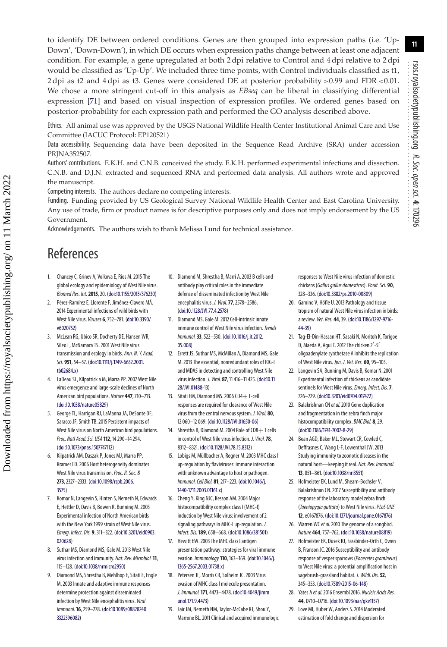to identify DE between ordered conditions. Genes are then grouped into expression paths (i.e. 'Up-Down', 'Down-Down'), in which DE occurs when expression paths change between at least one adjacent condition. For example, a gene upregulated at both 2 dpi relative to Control and 4 dpi relative to 2 dpi would be classified as 'Up-Up'. We included three time points, with Control individuals classified as t1, 2 dpi as t2 and 4 dpi as t3. Genes were considered DE at posterior probability *>*0.99 and FDR *<*0.01. We chose a more stringent cut-off in this analysis as *EBseq* can be liberal in classifying differential expression [\[71\]](#page-11-38) and based on visual inspection of expression profiles. We ordered genes based on posterior-probability for each expression path and performed the GO analysis described above.

Ethics. All animal use was approved by the USGS National Wildlife Health Center Institutional Animal Care and Use Committee (IACUC Protocol: EP120521)

Data accessibility. Sequencing data have been deposited in the Sequence Read Archive (SRA) under accession PRINA352507.

Authors' contributions. E.K.H. and C.N.B. conceived the study. E.K.H. performed experimental infections and dissection. C.N.B. and D.J.N. extracted and sequenced RNA and performed data analysis. All authors wrote and approved the manuscript.

Competing interests. The authors declare no competing interests.

Funding. Funding provided by US Geological Survey National Wildlife Health Center and East Carolina University. Any use of trade, firm or product names is for descriptive purposes only and does not imply endorsement by the US Government.

Acknowledgements. The authors wish to thank Melissa Lund for technical assistance.

## References

 Downloaded from https://royalsocietypublishing.org/ on 11 March 2022 Downloaded from https://royalsocietypublishing.org/ on 11 March 2022

- <span id="page-10-0"></span>1. Chancey C, Grinev A, Volkova E, Rios M. 2015 The global ecology and epidemiology of West Nile virus. Biomed Res. Int.**2015**, 20. [\(doi:10.1155/2015/376230\)](http://dx.doi.org/10.1155/2015/376230)
- <span id="page-10-1"></span>2. Pérez-Ramírez E, Llorente F, Jiménez-Clavero MÁ. 2014 Experimental infections of wild birds with West Nile virus. Viruses **6**, 752–781. [\(doi:10.3390/](http://dx.doi.org/10.3390/v6020752) [v6020752\)](http://dx.doi.org/10.3390/v6020752)
- <span id="page-10-2"></span>3. McLean RG, Ubico SR, Docherty DE, Hansen WR, Sileo L, McNamara TS. 2001 West Nile virus transmission and ecology in birds. Ann. N. Y. Acad. Sci. **951**, 54–57. [\(doi:10.1111/j.1749-6632.2001.](http://dx.doi.org/10.1111/j.1749-6632.2001.tb02684.x) [tb02684.x\)](http://dx.doi.org/10.1111/j.1749-6632.2001.tb02684.x)
- <span id="page-10-3"></span>4. LaDeau SL, Kilpatrick a M, Marra PP. 2007 West Nile virus emergence and large-scale declines of North American bird populations. Nature **447**, 710–713. [\(doi:10.1038/nature05829\)](http://dx.doi.org/10.1038/nature05829)
- <span id="page-10-4"></span>5. George TL, Harrigan RJ, LaManna JA, DeSante DF, Saracco JF, Smith TB. 2015 Persistent impacts of West Nile virus on North American bird populations. Proc. Natl Acad. Sci. USA **112**, 14 290–14 294. [\(doi:10.1073/pnas.1507747112\)](http://dx.doi.org/10.1073/pnas.1507747112)
- <span id="page-10-5"></span>6. Kilpatrick AM, Daszak P, Jones MJ, Marra PP, Kramer LD. 2006 Host heterogeneity dominates West Nile virus transmission. Proc. R. Soc. B **273**, 2327–2333. [\(doi:10.1098/rspb.2006.](http://dx.doi.org/10.1098/rspb.2006.3575) [3575\)](http://dx.doi.org/10.1098/rspb.2006.3575)
- <span id="page-10-6"></span>7. Komar N, Langevin S, Hinten S, Nemeth N, Edwards E, Hettler D, Davis B, Bowen R, Bunning M. 2003 Experimental infection of North American birds with the New York 1999 strain of West Nile virus. Emerg. Infect. Dis. **9**, 311–322. [\(doi:10.3201/eid0903.](http://dx.doi.org/10.3201/eid0903.020628) [020628\)](http://dx.doi.org/10.3201/eid0903.020628)
- <span id="page-10-7"></span>8. Suthar MS, Diamond MS, Gale M. 2013 West Nile virus infection and immunity. Nat. Rev. Microbiol.**11**, 115–128. [\(doi:10.1038/nrmicro2950\)](http://dx.doi.org/10.1038/nrmicro2950)
- <span id="page-10-8"></span>9. Diamond MS, Shrestha B, Mehlhop E, Sitati E, Engle M. 2003 Innate and adaptive immune responses determine protection against disseminated infection by West Nile encephalitis virus. Viral Immunol.**16**, 259–278. [\(doi:10.1089/08828240](http://dx.doi.org/10.1089/088282403322396082) [3322396082\)](http://dx.doi.org/10.1089/088282403322396082)
- <span id="page-10-9"></span>10. Diamond M, Shrestha B, Marri A. 2003 B cells and antibody play critical roles in the immediate defense of disseminated infection by West Nile encephalitis virus. J. Virol.**77**, 2578–2586. [\(doi:10.1128/JVI.77.4.2578\)](http://dx.doi.org/10.1128/JVI.77.4.2578)
- <span id="page-10-10"></span>11. Diamond MS, Gale M. 2012 Cell-intrinsic innate immune control of West Nile virus infection. Trends Immunol.**33**, 522–530. [\(doi:10.1016/j.it.2012.](http://dx.doi.org/10.1016/j.it.2012.05.008) [05.008\)](http://dx.doi.org/10.1016/j.it.2012.05.008)
- <span id="page-10-11"></span>12. Errett JS, Suthar MS, McMillan A, Diamond MS, Gale M. 2013 The essential, nonredundant roles of RIG-I and MDA5 in detecting and controlling West Nile virus infection. J. Virol. **87**, 11 416–11 425. [\(doi:10.11](http://dx.doi.org/10.1128/JVI.01488-13) [28/JVI.01488-13\)](http://dx.doi.org/10.1128/JVI.01488-13)
- <span id="page-10-12"></span>13. Sitati EM, Diamond MS. 2006 CD4 + T-cell responses are required for clearance of West Nile virus from the central nervous system. J. Virol. **80**, 12 060–12 069. [\(doi:10.1128/JVI.01650-06\)](http://dx.doi.org/10.1128/JVI.01650-06)
- <span id="page-10-13"></span>14. Shrestha B, Diamond M, 2004 Role of  $CD8 + T$  cells in control of West Nile virus infection. J. Virol.**78**, 8312–8321. [\(doi:10.1128/JVI.78.15.8312\)](http://dx.doi.org/10.1128/JVI.78.15.8312)
- <span id="page-10-14"></span>15. Lobigs M, Müllbacher A, Regner M. 2003 MHC class I up-regulation by flaviviruses: immune interaction with unknown advantage to host or pathogen. Immunol. Cell Biol. **81**, 217–223. [\(doi:10.1046/j.](http://dx.doi.org/10.1046/j.1440-1711.2003.01161.x) [1440-1711.2003.01161.x\)](http://dx.doi.org/10.1046/j.1440-1711.2003.01161.x)
- <span id="page-10-15"></span>16. Cheng Y, King NJC, Kesson AM. 2004 Major histocompatibility complex class I (MHC-I) induction by West Nile virus: involvement of 2 signaling pathways in MHC-I up-regulation. J. Infect. Dis.**189**, 658–668. [\(doi:10.1086/381501\)](http://dx.doi.org/10.1086/381501)
- <span id="page-10-16"></span>17. Hewitt EW. 2003 The MHC class I antigen presentation pathway: strategies for viral immune evasion. Immunology **110**, 163–169. [\(doi:10.1046/j.](http://dx.doi.org/10.1046/j.1365-2567.2003.01738.x) [1365-2567.2003.01738.x\)](http://dx.doi.org/10.1046/j.1365-2567.2003.01738.x)
- <span id="page-10-17"></span>18. Petersen JL, Morris CR, Solheim JC. 2003 Virus evasion of MHC class I molecule presentation. J. Immunol.**171**, 4473–4478. [\(doi:10.4049/jimm](http://dx.doi.org/10.4049/jimmunol.171.9.4473) [unol.171.9.4473\)](http://dx.doi.org/10.4049/jimmunol.171.9.4473)
- <span id="page-10-18"></span>19. Fair JM, Nemeth NM, Taylor-McCabe KJ, Shou Y, Marrone BL. 2011 Clinical and acquired immunologic

responses to West Nile virus infection of domestic chickens (Gallus gallus domesticus).Poult. Sci. **90**, 328–336. [\(doi:10.3382/ps.2010-00809\)](http://dx.doi.org/10.3382/ps.2010-00809)

- <span id="page-10-19"></span>20. Gamino V, Höfle U. 2013 Pathology and tissue tropism of natural West Nile virus infection in birds: a review. Vet. Res. **44**, 39. [\(doi:10.1186/1297-9716-](http://dx.doi.org/10.1186/1297-9716-44-39) [44-39\)](http://dx.doi.org/10.1186/1297-9716-44-39)
- <span id="page-10-20"></span>21. Tag-El-Din-Hassan HT, Sasaki N, Moritoh K, Torigoe D, Maeda A, Agui T. 2012 The chicken 2'-5' oligoadenylate synthetase A inhibits the replication of West Nile virus. Jpn. J. Vet. Res. **60**, 95–103.
- <span id="page-10-21"></span>22. Langevin SA, Bunning M, Davis B, Komar N. 2001 Experimental infection of chickens as candidate sentinels for West Nile virus.Emerg. Infect. Dis.**7**, 726–729. [\(doi:10.3201/eid0704.017422\)](http://dx.doi.org/10.3201/eid0704.017422)
- <span id="page-10-22"></span>23. Balakrishnan CN et al. 2010 Gene duplication and fragmentation in the zebra finch major histocompatibility complex. BMC Biol. **8**, 29. [\(doi:10.1186/1741-7007-8-29\)](http://dx.doi.org/10.1186/1741-7007-8-29)
- <span id="page-10-23"></span>24. Bean AGD, Baker ML, Stewart CR, Cowled C Deffrasnes C, Wang L-F, Lowenthal JW. 2013 Studying immunity to zoonotic diseases in the natural host—keeping it real. Nat. Rev. Immunol. **13**, 851–861. [\(doi:10.1038/nri3551\)](http://dx.doi.org/10.1038/nri3551)
- <span id="page-10-24"></span>25. Hofmeister EK, Lund M, Shearn-Bochsler V, Balakrishnan CN. 2017 Susceptibility and antibody response of the laboratory model zebra finch (Taeniopygia guttata) to West Nile virus. PLoS ONE **12**, e0167876. [\(doi:10.1371/journal.pone.0167876\)](http://dx.doi.org/10.1371/journal.pone.0167876)
- <span id="page-10-25"></span>26. Warren WC et al. 2010 The genome of a songbird. Nature **464**, 757–762. [\(doi:10.1038/nature08819\)](http://dx.doi.org/10.1038/nature08819)
- <span id="page-10-26"></span>27. Hofmeister EK, Dusek RJ, Fassbinder-Orth C, Owen B, Franson JC. 2016 Susceptibility and antibody response of vesper sparrows (Pooecetes gramineus) to West Nile virus: a potential amplification host in sagebrush-grassland habitat. J. Wildl. Dis.**52**, 345–353. [\(doi:10.7589/2015-06-148\)](http://dx.doi.org/10.7589/2015-06-148)
- <span id="page-10-27"></span>28. Yates A et al. 2016 Ensembl 2016. Nucleic Acids Res. **44**, D710–D716. [\(doi:10.1093/nar/gkv1157\)](http://dx.doi.org/10.1093/nar/gkv1157)
- <span id="page-10-28"></span>29. Love MI, Huber W, Anders S. 2014 Moderated estimation of fold change and dispersion for